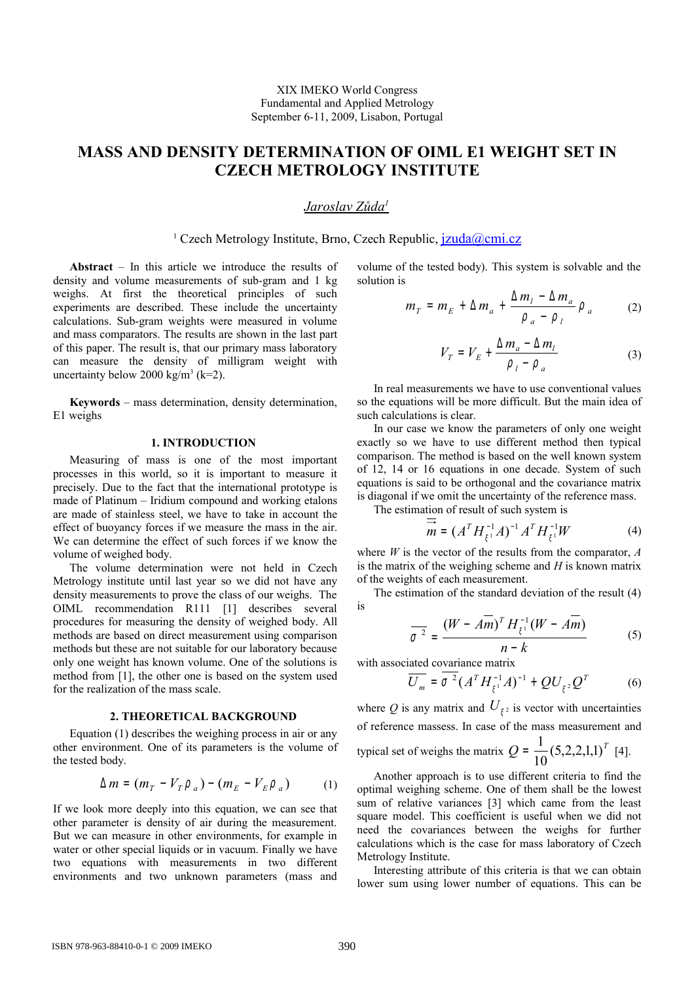# **MASS AND DENSITY DETERMINATION OF OIML E1 WEIGHT SET IN CZECH METROLOGY INSTITUTE**

## *Jaroslav Zůda<sup>1</sup>*

<sup>1</sup> Czech Metrology Institute, Brno, Czech Republic, *[jzuda@cmi.cz](mailto:jzuda@cmi.cz)* 

**Abstract** – In this article we introduce the results of density and volume measurements of sub-gram and 1 kg weighs. At first the theoretical principles of such experiments are described. These include the uncertainty calculations. Sub-gram weights were measured in volume and mass comparators. The results are shown in the last part of this paper. The result is, that our primary mass laboratory can measure the density of milligram weight with uncertainty below  $2000 \text{ kg/m}^3 \text{ (k=2)}$ .

**Keywords** – mass determination, density determination, E1 weighs

## **1. INTRODUCTION**

Measuring of mass is one of the most important processes in this world, so it is important to measure it precisely. Due to the fact that the international prototype is made of Platinum – Iridium compound and working etalons are made of stainless steel, we have to take in account the effect of buoyancy forces if we measure the mass in the air. We can determine the effect of such forces if we know the volume of weighed body.

The volume determination were not held in Czech Metrology institute until last year so we did not have any density measurements to prove the class of our weighs. The OIML recommendation R111 [1] describes several procedures for measuring the density of weighed body. All methods are based on direct measurement using comparison methods but these are not suitable for our laboratory because only one weight has known volume. One of the solutions is method from [1], the other one is based on the system used for the realization of the mass scale.

#### **2. THEORETICAL BACKGROUND**

Equation (1) describes the weighing process in air or any other environment. One of its parameters is the volume of the tested body.

$$
\Delta m = (m_T - V_T \rho_a) - (m_E - V_E \rho_a) \tag{1}
$$

If we look more deeply into this equation, we can see that other parameter is density of air during the measurement. But we can measure in other environments, for example in water or other special liquids or in vacuum. Finally we have two equations with measurements in two different environments and two unknown parameters (mass and

volume of the tested body). This system is solvable and the solution is

$$
m_T = m_E + \Delta m_a + \frac{\Delta m_l - \Delta m_a}{\rho_a - \rho_l} \rho_a \qquad (2)
$$

$$
V_T = V_E + \frac{\Delta m_a - \Delta m_l}{\rho_l - \rho_a} \tag{3}
$$

In real measurements we have to use conventional values so the equations will be more difficult. But the main idea of such calculations is clear.

In our case we know the parameters of only one weight exactly so we have to use different method then typical comparison. The method is based on the well known system of 12, 14 or 16 equations in one decade. System of such equations is said to be orthogonal and the covariance matrix is diagonal if we omit the uncertainty of the reference mass.

The estimation of result of such system is

$$
m = (A^T H_{\xi^1}^{-1} A)^{-1} A^T H_{\xi^1}^{-1} W \tag{4}
$$

where *W* is the vector of the results from the comparator, *A* is the matrix of the weighing scheme and *H* is known matrix of the weights of each measurement.

The estimation of the standard deviation of the result (4) is

$$
\frac{1}{\sigma^2} = \frac{(W - A\overline{m})^T H_{\xi^1}^{-1} (W - A\overline{m})}{n - k}
$$
 (5)

with associated covariance matrix

$$
\overline{U_m} = \sigma^2 (A^T H_{\xi^1}^{-1} A)^{-1} + Q U_{\xi^2} Q^T \tag{6}
$$

where Q is any matrix and  $U_{\xi^2}$  is vector with uncertainties of reference massess. In case of the mass measurement and typical set of weighs the matrix  $Q = \frac{1}{2} (5,2,2,1,1)^T$ 10  $=\frac{1}{16}(5,2,2,1,1)^T$  [4].

Another approach is to use different criteria to find the optimal weighing scheme. One of them shall be the lowest sum of relative variances [3] which came from the least square model. This coefficient is useful when we did not need the covariances between the weighs for further calculations which is the case for mass laboratory of Czech Metrology Institute.

Interesting attribute of this criteria is that we can obtain lower sum using lower number of equations. This can be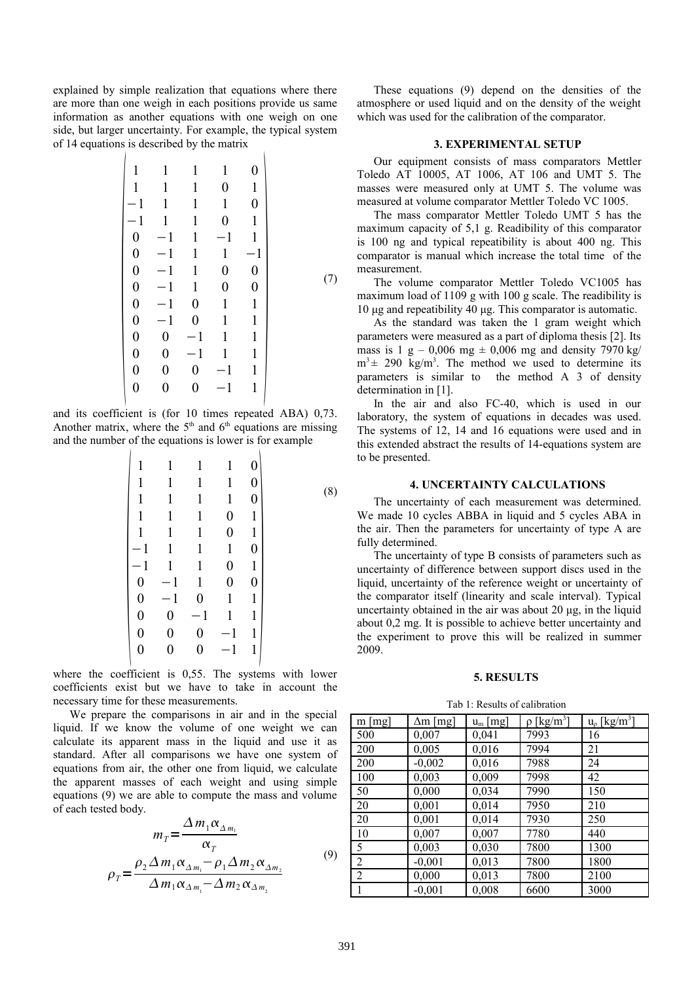explained by simple realization that equations where there are more than one weigh in each positions provide us same information as another equations with one weigh on one side, but larger uncertainty. For example, the typical system of 14 equations is described by the matrix

$$
\begin{vmatrix}\n1 & 1 & 1 & 1 & 0 \\
1 & 1 & 1 & 0 & 1 \\
-1 & 1 & 1 & 1 & 0 \\
0 & -1 & 1 & -1 & 1 \\
0 & -1 & 1 & 1 & -1 \\
0 & -1 & 1 & 1 & -1 \\
0 & -1 & 1 & 0 & 0 \\
0 & -1 & 0 & 1 & 1 \\
0 & -1 & 0 & 1 & 1 \\
0 & 0 & -1 & 1 & 1 \\
0 & 0 & -1 & 1 & 1 \\
0 & 0 & -1 & 1 & 1 \\
0 & 0 & 0 & -1 & 1\n\end{vmatrix}
$$
\n(7)

and its coefficient is (for 10 times repeated ABA) 0,73. Another matrix, where the  $5<sup>th</sup>$  and  $6<sup>th</sup>$  equations are missing and the number of the equations is lower is for example

|                  |                  |              |                | 0                |  |
|------------------|------------------|--------------|----------------|------------------|--|
|                  | 1                | 1            | 1              | $\boldsymbol{0}$ |  |
|                  | 1                | 1            | 1              | $\pmb{0}$        |  |
|                  | 1                | $\mathbf{1}$ | $\overline{0}$ | $\mathbf{1}$     |  |
|                  | 1                | $\mathbf{1}$ | 0              | $\mathbf{1}$     |  |
|                  | 1                | 1            | 1              | 0                |  |
|                  | 1                | 1            | 0              | 1                |  |
| 0                | 1                | 1            | 0              | $\pmb{0}$        |  |
| $\pmb{0}$        | 1                | $\pmb{0}$    | 1              | $\mathbf{1}$     |  |
| $\boldsymbol{0}$ | $\boldsymbol{0}$ | 1            |                | $\mathbf{1}$     |  |
| $\boldsymbol{0}$ | $\pmb{0}$        | 0            | 1              | 1                |  |
| 0                |                  | 0            | 1              | 1                |  |
|                  |                  |              |                |                  |  |

where the coefficient is 0,55. The systems with lower coefficients exist but we have to take in account the necessary time for these measurements.

We prepare the comparisons in air and in the special liquid. If we know the volume of one weight we can calculate its apparent mass in the liquid and use it as standard. After all comparisons we have one system of equations from air, the other one from liquid, we calculate the apparent masses of each weight and using simple equations (9) we are able to compute the mass and volume of each tested body.

$$
m_T = \frac{\Delta m_1 \alpha_{\Delta m_1}}{\alpha_T}
$$
  
\n
$$
\rho_T = \frac{\rho_2 \Delta m_1 \alpha_{\Delta m_1} - \rho_1 \Delta m_2 \alpha_{\Delta m_2}}{\Delta m_1 \alpha_{\Delta m_1} - \Delta m_2 \alpha_{\Delta m_2}}
$$
\n(9)

These equations (9) depend on the densities of the atmosphere or used liquid and on the density of the weight which was used for the calibration of the comparator.

## **3. EXPERIMENTAL SETUP**

Our equipment consists of mass comparators Mettler Toledo AT 10005, AT 1006, AT 106 and UMT 5. The masses were measured only at UMT 5. The volume was measured at volume comparator Mettler Toledo VC 1005.

The mass comparator Mettler Toledo UMT 5 has the maximum capacity of 5,1 g. Readibility of this comparator is 100 ng and typical repeatibility is about 400 ng. This comparator is manual which increase the total time of the measurement.

The volume comparator Mettler Toledo VC1005 has maximum load of 1109 g with 100 g scale. The readibility is 10 μg and repeatibility 40 μg. This comparator is automatic.

As the standard was taken the 1 gram weight which parameters were measured as a part of diploma thesis [2]. Its mass is 1 g – 0,006 mg  $\pm$  0,006 mg and density 7970 kg/  $m<sup>3</sup> \pm 290$  kg/m<sup>3</sup>. The method we used to determine its parameters is similar to the method A 3 of density determination in [1].

In the air and also FC-40, which is used in our laboratory, the system of equations in decades was used. The systems of 12, 14 and 16 equations were used and in this extended abstract the results of 14-equations system are to be presented.

#### **4. UNCERTAINTY CALCULATIONS**

The uncertainty of each measurement was determined. We made 10 cycles ABBA in liquid and 5 cycles ABA in the air. Then the parameters for uncertainty of type A are fully determined.

The uncertainty of type B consists of parameters such as uncertainty of difference between support discs used in the liquid, uncertainty of the reference weight or uncertainty of the comparator itself (linearity and scale interval). Typical uncertainty obtained in the air was about 20 μg, in the liquid about 0,2 mg. It is possible to achieve better uncertainty and the experiment to prove this will be realized in summer 2009.

### **5. RESULTS**

Tab 1: Results of calibration

| $m$ [mg]       | $\Delta m$ [mg] | $u_m$ [mg] | $\rho$ [kg/m <sup>3</sup> ] | $u_{\rho}$ [kg/m <sup>3</sup> ] |
|----------------|-----------------|------------|-----------------------------|---------------------------------|
| 500            | 0,007           | 0,041      | 7993                        | 16                              |
| 200            | 0,005           | 0,016      | 7994                        | 21                              |
| 200            | $-0,002$        | 0,016      | 7988                        | 24                              |
| 100            | 0,003           | 0,009      | 7998                        | 42                              |
| 50             | 0,000           | 0,034      | 7990                        | 150                             |
| 20             | 0,001           | 0,014      | 7950                        | 210                             |
| 20             | 0,001           | 0,014      | 7930                        | 250                             |
| 10             | 0,007           | 0,007      | 7780                        | 440                             |
| 5              | 0,003           | 0,030      | 7800                        | 1300                            |
| $\overline{2}$ | $-0,001$        | 0,013      | 7800                        | 1800                            |
| $\overline{2}$ | 0,000           | 0,013      | 7800                        | 2100                            |
| $\mathbf{1}$   | $-0,001$        | 0,008      | 6600                        | 3000                            |